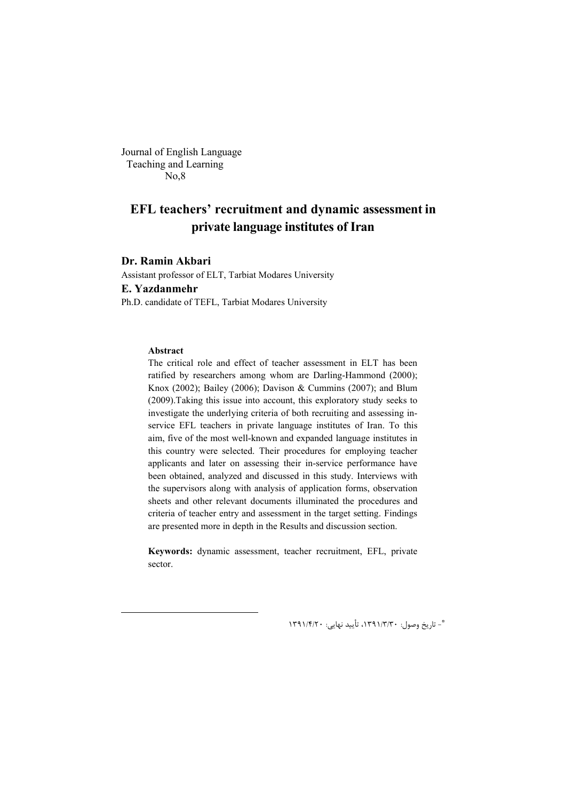Journal of English Language Teaching and Learning No,8

# **EFL teachers' recruitment and dynamic assessment in private language institutes of Iran**

## **Dr. Ramin Akbari**

Assistant professor of ELT, Tarbiat Modares University **E. Yazdanmehr** Ph.D. candidate of TEFL, Tarbiat Modares University

#### **Abstract**

The critical role and effect of teacher assessment in ELT has been ratified by researchers among whom are Darling-Hammond (2000); Knox (2002); Bailey (2006); Davison & Cummins (2007); and Blum (2009).Taking this issue into account, this exploratory study seeks to investigate the underlying criteria of both recruiting and assessing inservice EFL teachers in private language institutes of Iran. To this aim, five of the most well-known and expanded language institutes in this country were selected. Their procedures for employing teacher applicants and later on assessing their in-service performance have been obtained, analyzed and discussed in this study. Interviews with the supervisors along with analysis of application forms, observation sheets and other relevant documents illuminated the procedures and criteria of teacher entry and assessment in the target setting. Findings are presented more in depth in the Results and discussion section.

**Keywords:** dynamic assessment, teacher recruitment, EFL, private sector.

- تاریخ وصول: 30 /3/ ،1391 تأیید نهایی: 20 /4/ <sup>1391</sup> \*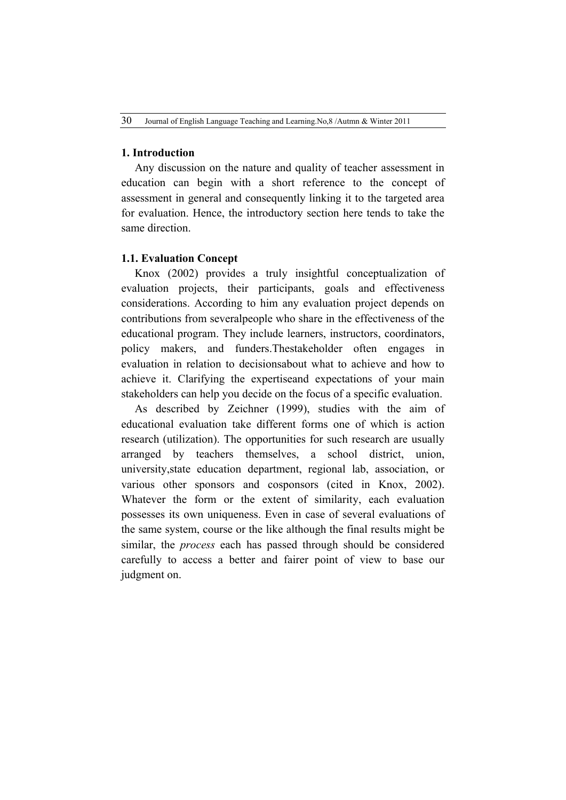# **1. Introduction**

Any discussion on the nature and quality of teacher assessment in education can begin with a short reference to the concept of assessment in general and consequently linking it to the targeted area for evaluation. Hence, the introductory section here tends to take the same direction.

# **1.1. Evaluation Concept**

Knox (2002) provides a truly insightful conceptualization of evaluation projects, their participants, goals and effectiveness considerations. According to him any evaluation project depends on contributions from severalpeople who share in the effectiveness of the educational program. They include learners, instructors, coordinators, policy makers, and funders.Thestakeholder often engages in evaluation in relation to decisionsabout what to achieve and how to achieve it. Clarifying the expertiseand expectations of your main stakeholders can help you decide on the focus of a specific evaluation.

As described by Zeichner (1999), studies with the aim of educational evaluation take different forms one of which is action research (utilization). The opportunities for such research are usually arranged by teachers themselves, a school district, union, university,state education department, regional lab, association, or various other sponsors and cosponsors (cited in Knox, 2002). Whatever the form or the extent of similarity, each evaluation possesses its own uniqueness. Even in case of several evaluations of the same system, course or the like although the final results might be similar, the *process* each has passed through should be considered carefully to access a better and fairer point of view to base our judgment on.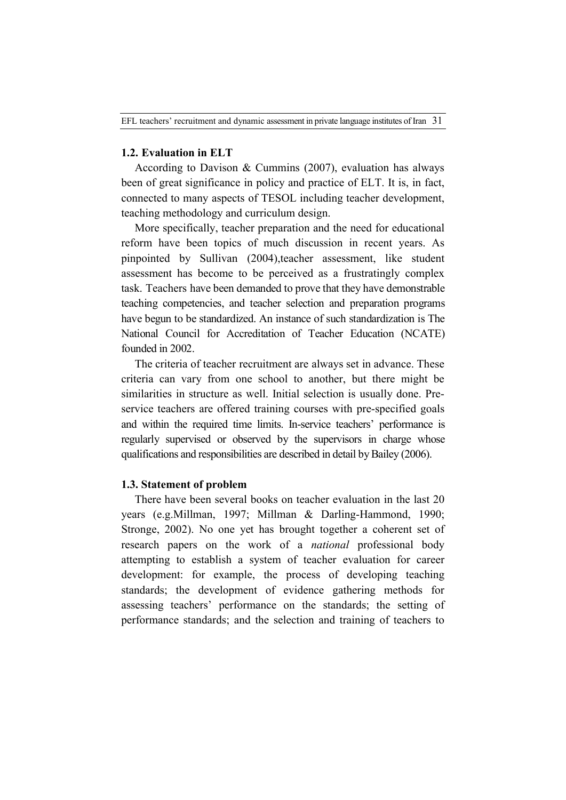# **1.2. Evaluation in ELT**

According to Davison & Cummins (2007), evaluation has always been of great significance in policy and practice of ELT. It is, in fact, connected to many aspects of TESOL including teacher development, teaching methodology and curriculum design.

More specifically, teacher preparation and the need for educational reform have been topics of much discussion in recent years. As pinpointed by Sullivan (2004),teacher assessment, like student assessment has become to be perceived as a frustratingly complex task. Teachers have been demanded to prove that they have demonstrable teaching competencies, and teacher selection and preparation programs have begun to be standardized. An instance of such standardization is The National Council for Accreditation of Teacher Education (NCATE) founded in 2002.

The criteria of teacher recruitment are always set in advance. These criteria can vary from one school to another, but there might be similarities in structure as well. Initial selection is usually done. Preservice teachers are offered training courses with pre-specified goals and within the required time limits. In-service teachers' performance is regularly supervised or observed by the supervisors in charge whose qualifications and responsibilities are described in detail by Bailey (2006).

### **1.3. Statement of problem**

There have been several books on teacher evaluation in the last 20 years (e.g.Millman, 1997; Millman & Darling-Hammond, 1990; Stronge, 2002). No one yet has brought together a coherent set of research papers on the work of a *national* professional body attempting to establish a system of teacher evaluation for career development: for example, the process of developing teaching standards; the development of evidence gathering methods for assessing teachers' performance on the standards; the setting of performance standards; and the selection and training of teachers to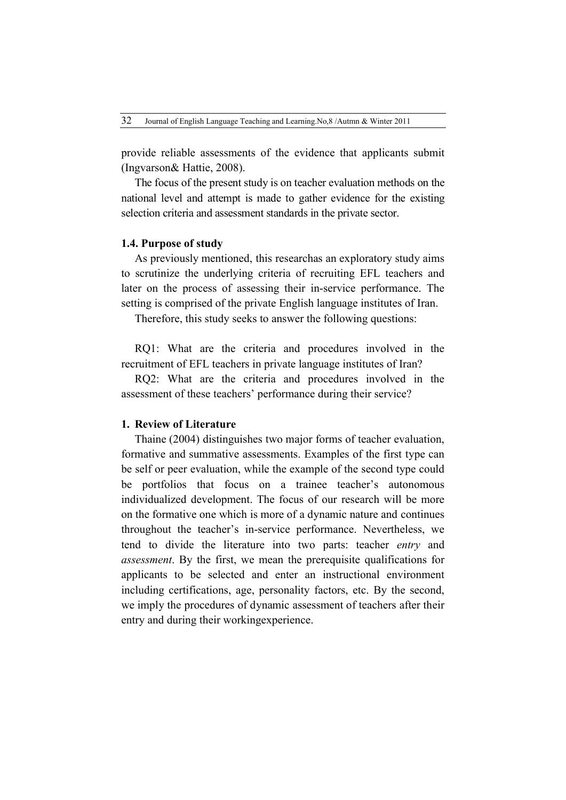provide reliable assessments of the evidence that applicants submit (Ingvarson& Hattie, 2008).

The focus of the present study is on teacher evaluation methods on the national level and attempt is made to gather evidence for the existing selection criteria and assessment standards in the private sector.

### **1.4. Purpose of study**

As previously mentioned, this researchas an exploratory study aims to scrutinize the underlying criteria of recruiting EFL teachers and later on the process of assessing their in-service performance. The setting is comprised of the private English language institutes of Iran.

Therefore, this study seeks to answer the following questions:

RQ1: What are the criteria and procedures involved in the recruitment of EFL teachers in private language institutes of Iran?

RQ2: What are the criteria and procedures involved in the assessment of these teachers' performance during their service?

# **1. Review of Literature**

Thaine (2004) distinguishes two major forms of teacher evaluation, formative and summative assessments. Examples of the first type can be self or peer evaluation, while the example of the second type could be portfolios that focus on a trainee teacher's autonomous individualized development. The focus of our research will be more on the formative one which is more of a dynamic nature and continues throughout the teacher's in-service performance. Nevertheless, we tend to divide the literature into two parts: teacher *entry* and *assessment*. By the first, we mean the prerequisite qualifications for applicants to be selected and enter an instructional environment including certifications, age, personality factors, etc. By the second, we imply the procedures of dynamic assessment of teachers after their entry and during their workingexperience.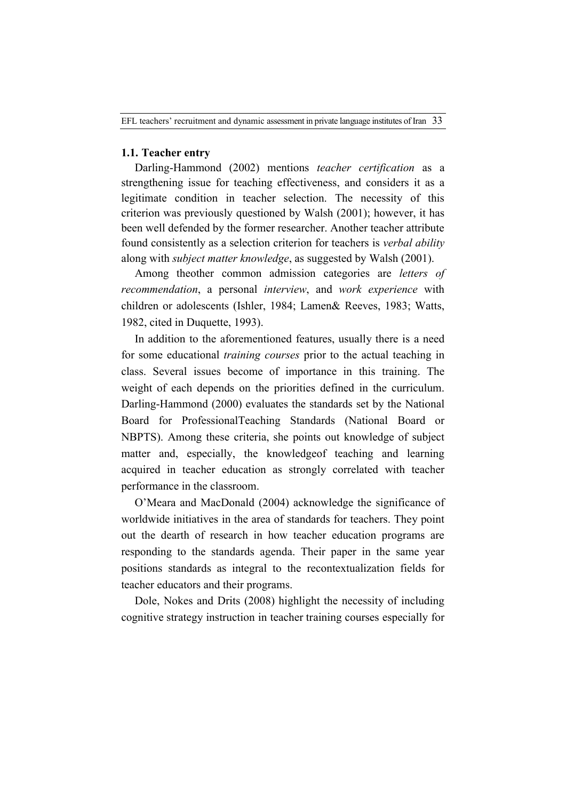# **1.1. Teacher entry**

Darling-Hammond (2002) mentions *teacher certification* as a strengthening issue for teaching effectiveness, and considers it as a legitimate condition in teacher selection. The necessity of this criterion was previously questioned by Walsh (2001); however, it has been well defended by the former researcher. Another teacher attribute found consistently as a selection criterion for teachers is *verbal ability* along with *subject matter knowledge*, as suggested by Walsh (2001).

Among theother common admission categories are *letters of recommendation*, a personal *interview*, and *work experience* with children or adolescents (Ishler, 1984; Lamen& Reeves, 1983; Watts, 1982, cited in Duquette, 1993).

In addition to the aforementioned features, usually there is a need for some educational *training courses* prior to the actual teaching in class. Several issues become of importance in this training. The weight of each depends on the priorities defined in the curriculum. Darling-Hammond (2000) evaluates the standards set by the National Board for ProfessionalTeaching Standards (National Board or NBPTS). Among these criteria, she points out knowledge of subject matter and, especially, the knowledgeof teaching and learning acquired in teacher education as strongly correlated with teacher performance in the classroom.

O'Meara and MacDonald (2004) acknowledge the significance of worldwide initiatives in the area of standards for teachers. They point out the dearth of research in how teacher education programs are responding to the standards agenda. Their paper in the same year positions standards as integral to the recontextualization fields for teacher educators and their programs.

Dole, Nokes and Drits (2008) highlight the necessity of including cognitive strategy instruction in teacher training courses especially for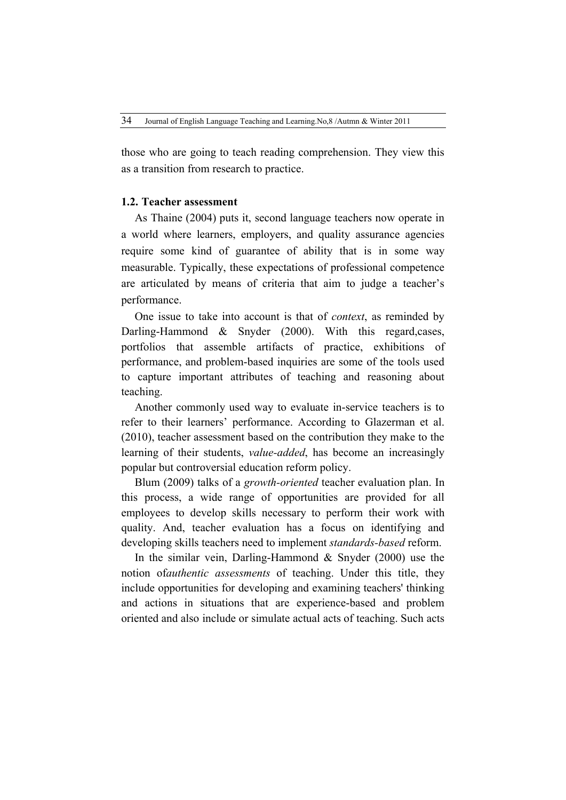those who are going to teach reading comprehension. They view this as a transition from research to practice.

# **1.2. Teacher assessment**

As Thaine (2004) puts it, second language teachers now operate in a world where learners, employers, and quality assurance agencies require some kind of guarantee of ability that is in some way measurable. Typically, these expectations of professional competence are articulated by means of criteria that aim to judge a teacher's performance.

One issue to take into account is that of *context*, as reminded by Darling-Hammond & Snyder (2000). With this regard,cases, portfolios that assemble artifacts of practice, exhibitions of performance, and problem-based inquiries are some of the tools used to capture important attributes of teaching and reasoning about teaching.

Another commonly used way to evaluate in-service teachers is to refer to their learners' performance. According to Glazerman et al. (2010), teacher assessment based on the contribution they make to the learning of their students, *value-added*, has become an increasingly popular but controversial education reform policy.

Blum (2009) talks of a *growth-oriented* teacher evaluation plan. In this process, a wide range of opportunities are provided for all employees to develop skills necessary to perform their work with quality. And, teacher evaluation has a focus on identifying and developing skills teachers need to implement *standards-based* reform.

In the similar vein, Darling-Hammond & Snyder (2000) use the notion of*authentic assessments* of teaching. Under this title, they include opportunities for developing and examining teachers' thinking and actions in situations that are experience-based and problem oriented and also include or simulate actual acts of teaching. Such acts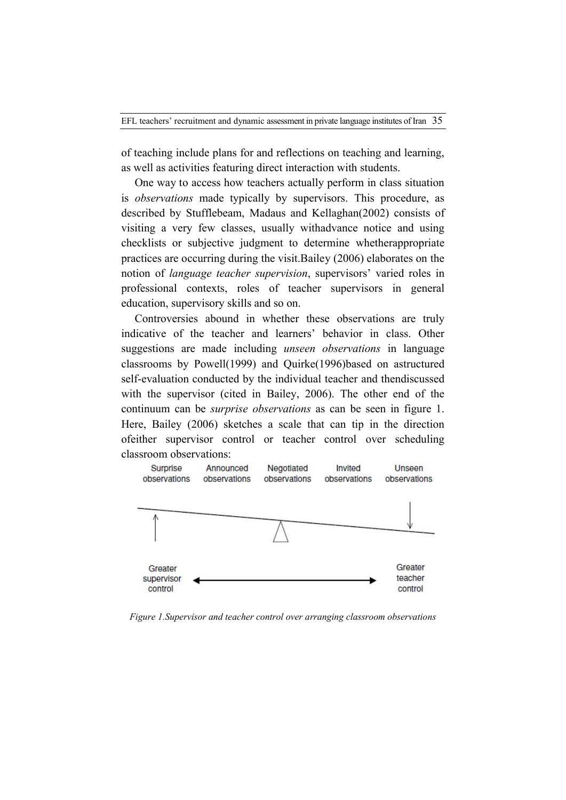of teaching include plans for and reflections on teaching and learning, as well as activities featuring direct interaction with students.

One way to access how teachers actually perform in class situation is *observations* made typically by supervisors. This procedure, as described by Stufflebeam, Madaus and Kellaghan(2002) consists of visiting a very few classes, usually withadvance notice and using checklists or subjective judgment to determine whetherappropriate practices are occurring during the visit.Bailey (2006) elaborates on the notion of *language teacher supervision*, supervisors' varied roles in professional contexts, roles of teacher supervisors in general education, supervisory skills and so on.

Controversies abound in whether these observations are truly indicative of the teacher and learners' behavior in class. Other suggestions are made including *unseen observations* in language classrooms by Powell(1999) and Quirke(1996)based on astructured self-evaluation conducted by the individual teacher and thendiscussed with the supervisor (cited in Bailey, 2006). The other end of the continuum can be *surprise observations* as can be seen in figure 1. Here, Bailey (2006) sketches a scale that can tip in the direction ofeither supervisor control or teacher control over scheduling classroom observations:



*Figure 1.Supervisor and teacher control over arranging classroom observations*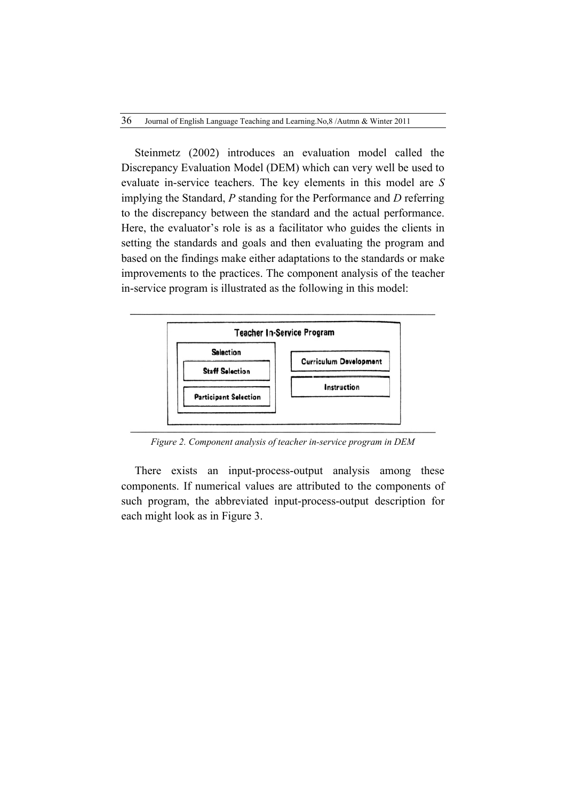Steinmetz (2002) introduces an evaluation model called the Discrepancy Evaluation Model (DEM) which can very well be used to evaluate in-service teachers. The key elements in this model are *S* implying the Standard, *P* standing for the Performance and *D* referring to the discrepancy between the standard and the actual performance. Here, the evaluator's role is as a facilitator who guides the clients in setting the standards and goals and then evaluating the program and based on the findings make either adaptations to the standards or make improvements to the practices. The component analysis of the teacher in-service program is illustrated as the following in this model:



*Figure 2. Component analysis of teacher in-service program in DEM*

There exists an input-process-output analysis among these components. If numerical values are attributed to the components of such program, the abbreviated input-process-output description for each might look as in Figure 3.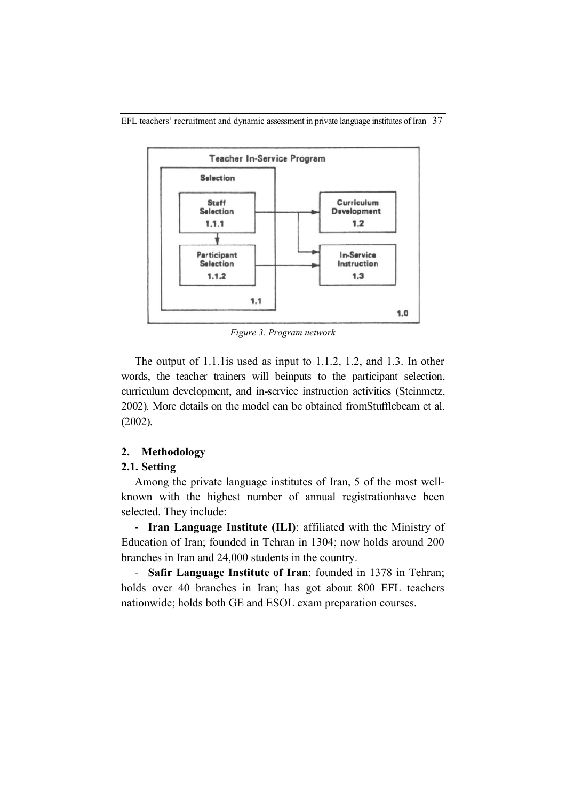

*Figure 3. Program network*

The output of 1.1.1is used as input to 1.1.2, 1.2, and 1.3. In other words, the teacher trainers will beinputs to the participant selection, curriculum development, and in-service instruction activities (Steinmetz, 2002). More details on the model can be obtained fromStufflebeam et al. (2002).

# **2. Methodology**

# **2.1. Setting**

Among the private language institutes of Iran, 5 of the most wellknown with the highest number of annual registrationhave been selected. They include:

- **Iran Language Institute (ILI)**: affiliated with the Ministry of Education of Iran; founded in Tehran in 1304; now holds around 200 branches in Iran and 24,000 students in the country.

- **Safir Language Institute of Iran**: founded in 1378 in Tehran; holds over 40 branches in Iran; has got about 800 EFL teachers nationwide; holds both GE and ESOL exam preparation courses.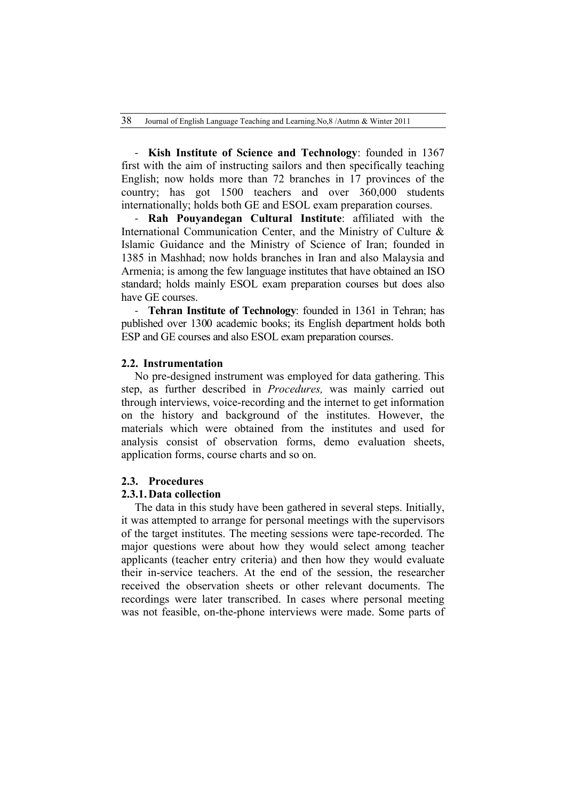- **Kish Institute of Science and Technology**: founded in 1367 first with the aim of instructing sailors and then specifically teaching English; now holds more than 72 branches in 17 provinces of the country; has got 1500 teachers and over 360,000 students internationally; holds both GE and ESOL exam preparation courses.

- **Rah Pouyandegan Cultural Institute**: affiliated with the International Communication Center, and the Ministry of Culture & Islamic Guidance and the Ministry of Science of Iran; founded in 1385 in Mashhad; now holds branches in Iran and also Malaysia and Armenia; is among the few language institutes that have obtained an ISO standard; holds mainly ESOL exam preparation courses but does also have GE courses.

- **Tehran Institute of Technology**: founded in 1361 in Tehran; has published over 1300 academic books; its English department holds both ESP and GE courses and also ESOL exam preparation courses.

### **2.2. Instrumentation**

No pre-designed instrument was employed for data gathering. This step, as further described in *Procedures,* was mainly carried out through interviews, voice-recording and the internet to get information on the history and background of the institutes. However, the materials which were obtained from the institutes and used for analysis consist of observation forms, demo evaluation sheets, application forms, course charts and so on.

### **2.3. Procedures**

#### **2.3.1. Data collection**

The data in this study have been gathered in several steps. Initially, it was attempted to arrange for personal meetings with the supervisors of the target institutes. The meeting sessions were tape-recorded. The major questions were about how they would select among teacher applicants (teacher entry criteria) and then how they would evaluate their in-service teachers. At the end of the session, the researcher received the observation sheets or other relevant documents. The recordings were later transcribed. In cases where personal meeting was not feasible, on-the-phone interviews were made. Some parts of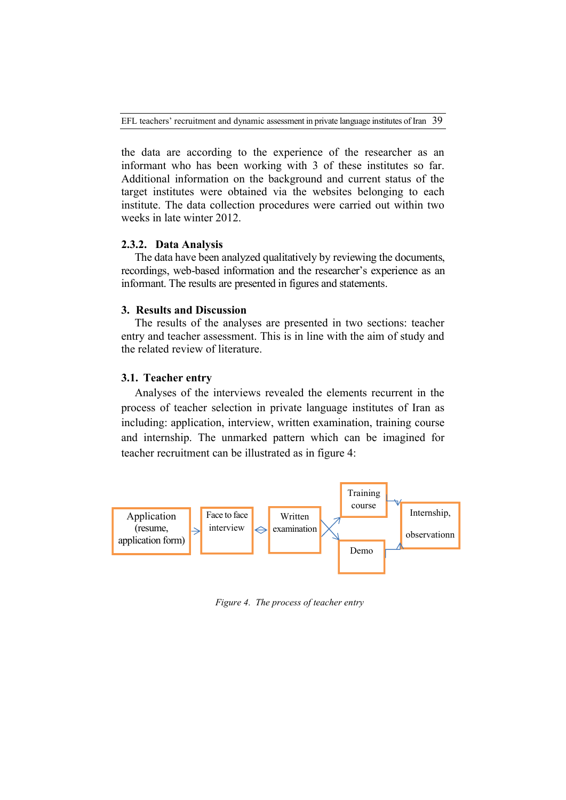EFL teachers' recruitment and dynamic assessment in private language institutes of Iran 39

the data are according to the experience of the researcher as an informant who has been working with 3 of these institutes so far. Additional information on the background and current status of the target institutes were obtained via the websites belonging to each institute. The data collection procedures were carried out within two weeks in late winter 2012.

# **2.3.2. Data Analysis**

The data have been analyzed qualitatively by reviewing the documents, recordings, web-based information and the researcher's experience as an informant. The results are presented in figures and statements.

# **3. Results and Discussion**

The results of the analyses are presented in two sections: teacher entry and teacher assessment. This is in line with the aim of study and the related review of literature.

### **3.1. Teacher entry**

Analyses of the interviews revealed the elements recurrent in the process of teacher selection in private language institutes of Iran as including: application, interview, written examination, training course and internship. The unmarked pattern which can be imagined for teacher recruitment can be illustrated as in figure 4:



*Figure 4. The process of teacher entry*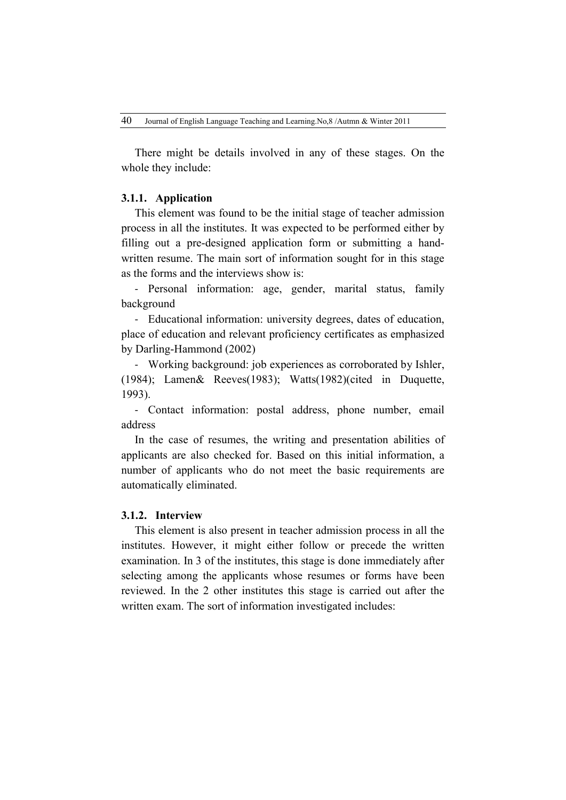There might be details involved in any of these stages. On the whole they include:

# **3.1.1. Application**

This element was found to be the initial stage of teacher admission process in all the institutes. It was expected to be performed either by filling out a pre-designed application form or submitting a handwritten resume. The main sort of information sought for in this stage as the forms and the interviews show is:

- Personal information: age, gender, marital status, family background

- Educational information: university degrees, dates of education, place of education and relevant proficiency certificates as emphasized by Darling-Hammond (2002)

- Working background: job experiences as corroborated by Ishler, (1984); Lamen& Reeves(1983); Watts(1982)(cited in Duquette, 1993).

- Contact information: postal address, phone number, email address

In the case of resumes, the writing and presentation abilities of applicants are also checked for. Based on this initial information, a number of applicants who do not meet the basic requirements are automatically eliminated.

# **3.1.2. Interview**

This element is also present in teacher admission process in all the institutes. However, it might either follow or precede the written examination. In 3 of the institutes, this stage is done immediately after selecting among the applicants whose resumes or forms have been reviewed. In the 2 other institutes this stage is carried out after the written exam. The sort of information investigated includes: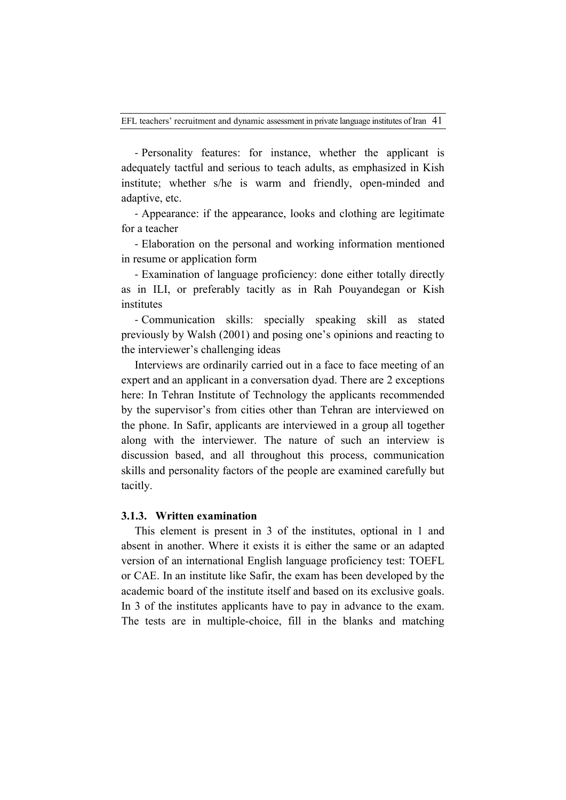- Personality features: for instance, whether the applicant is adequately tactful and serious to teach adults, as emphasized in Kish institute; whether s/he is warm and friendly, open-minded and adaptive, etc.

- Appearance: if the appearance, looks and clothing are legitimate for a teacher

- Elaboration on the personal and working information mentioned in resume or application form

- Examination of language proficiency: done either totally directly as in ILI, or preferably tacitly as in Rah Pouyandegan or Kish institutes

- Communication skills: specially speaking skill as stated previously by Walsh (2001) and posing one's opinions and reacting to the interviewer's challenging ideas

Interviews are ordinarily carried out in a face to face meeting of an expert and an applicant in a conversation dyad. There are 2 exceptions here: In Tehran Institute of Technology the applicants recommended by the supervisor's from cities other than Tehran are interviewed on the phone. In Safir, applicants are interviewed in a group all together along with the interviewer. The nature of such an interview is discussion based, and all throughout this process, communication skills and personality factors of the people are examined carefully but tacitly.

# **3.1.3. Written examination**

This element is present in 3 of the institutes, optional in 1 and absent in another. Where it exists it is either the same or an adapted version of an international English language proficiency test: TOEFL or CAE. In an institute like Safir, the exam has been developed by the academic board of the institute itself and based on its exclusive goals. In 3 of the institutes applicants have to pay in advance to the exam. The tests are in multiple-choice, fill in the blanks and matching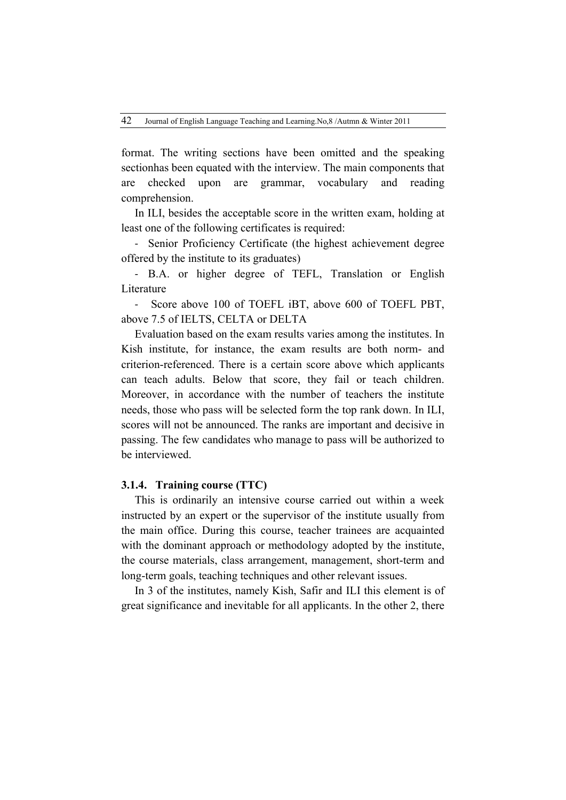format. The writing sections have been omitted and the speaking sectionhas been equated with the interview. The main components that are checked upon are grammar, vocabulary and reading comprehension.

In ILI, besides the acceptable score in the written exam, holding at least one of the following certificates is required:

- Senior Proficiency Certificate (the highest achievement degree offered by the institute to its graduates)

- B.A. or higher degree of TEFL, Translation or English **Literature** 

- Score above 100 of TOEFL iBT, above 600 of TOEFL PBT, above 7.5 of IELTS, CELTA or DELTA

Evaluation based on the exam results varies among the institutes. In Kish institute, for instance, the exam results are both norm- and criterion-referenced. There is a certain score above which applicants can teach adults. Below that score, they fail or teach children. Moreover, in accordance with the number of teachers the institute needs, those who pass will be selected form the top rank down. In ILI, scores will not be announced. The ranks are important and decisive in passing. The few candidates who manage to pass will be authorized to be interviewed.

# **3.1.4. Training course (TTC)**

This is ordinarily an intensive course carried out within a week instructed by an expert or the supervisor of the institute usually from the main office. During this course, teacher trainees are acquainted with the dominant approach or methodology adopted by the institute, the course materials, class arrangement, management, short-term and long-term goals, teaching techniques and other relevant issues.

In 3 of the institutes, namely Kish, Safir and ILI this element is of great significance and inevitable for all applicants. In the other 2, there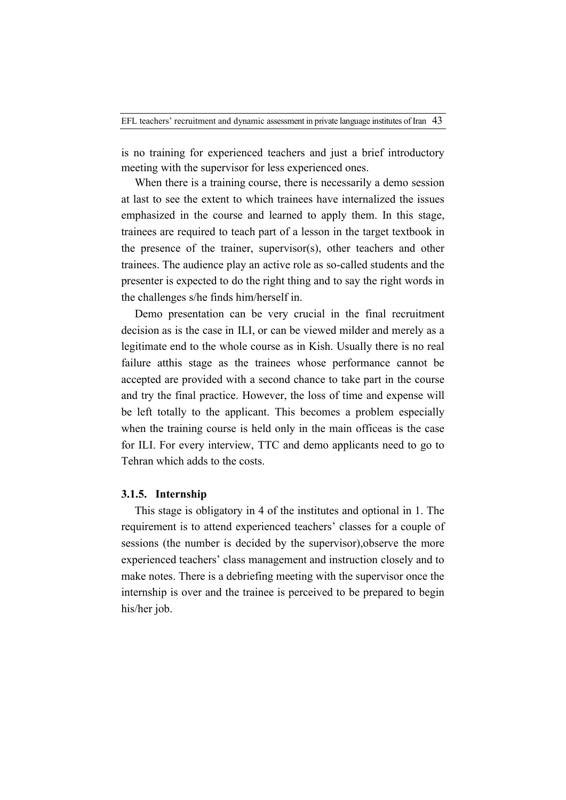is no training for experienced teachers and just a brief introductory meeting with the supervisor for less experienced ones.

When there is a training course, there is necessarily a demo session at last to see the extent to which trainees have internalized the issues emphasized in the course and learned to apply them. In this stage, trainees are required to teach part of a lesson in the target textbook in the presence of the trainer, supervisor(s), other teachers and other trainees. The audience play an active role as so-called students and the presenter is expected to do the right thing and to say the right words in the challenges s/he finds him/herself in.

Demo presentation can be very crucial in the final recruitment decision as is the case in ILI, or can be viewed milder and merely as a legitimate end to the whole course as in Kish. Usually there is no real failure atthis stage as the trainees whose performance cannot be accepted are provided with a second chance to take part in the course and try the final practice. However, the loss of time and expense will be left totally to the applicant. This becomes a problem especially when the training course is held only in the main officeas is the case for ILI. For every interview, TTC and demo applicants need to go to Tehran which adds to the costs.

# **3.1.5. Internship**

This stage is obligatory in 4 of the institutes and optional in 1. The requirement is to attend experienced teachers' classes for a couple of sessions (the number is decided by the supervisor),observe the more experienced teachers' class management and instruction closely and to make notes. There is a debriefing meeting with the supervisor once the internship is over and the trainee is perceived to be prepared to begin his/her job.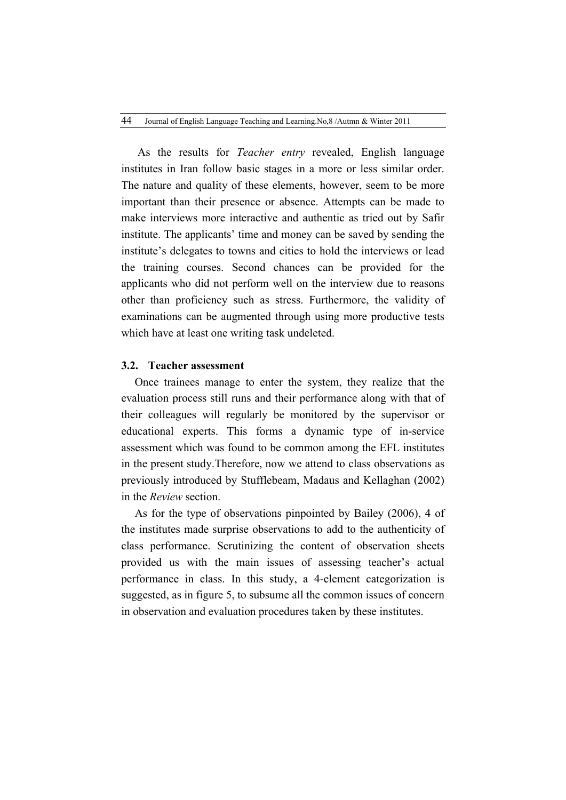As the results for *Teacher entry* revealed, English language institutes in Iran follow basic stages in a more or less similar order. The nature and quality of these elements, however, seem to be more important than their presence or absence. Attempts can be made to make interviews more interactive and authentic as tried out by Safir institute. The applicants' time and money can be saved by sending the institute's delegates to towns and cities to hold the interviews or lead the training courses. Second chances can be provided for the applicants who did not perform well on the interview due to reasons other than proficiency such as stress. Furthermore, the validity of examinations can be augmented through using more productive tests which have at least one writing task undeleted.

### **3.2. Teacher assessment**

Once trainees manage to enter the system, they realize that the evaluation process still runs and their performance along with that of their colleagues will regularly be monitored by the supervisor or educational experts. This forms a dynamic type of in-service assessment which was found to be common among the EFL institutes in the present study.Therefore, now we attend to class observations as previously introduced by Stufflebeam, Madaus and Kellaghan (2002) in the *Review* section.

As for the type of observations pinpointed by Bailey (2006), 4 of the institutes made surprise observations to add to the authenticity of class performance. Scrutinizing the content of observation sheets provided us with the main issues of assessing teacher's actual performance in class. In this study, a 4-element categorization is suggested, as in figure 5, to subsume all the common issues of concern in observation and evaluation procedures taken by these institutes.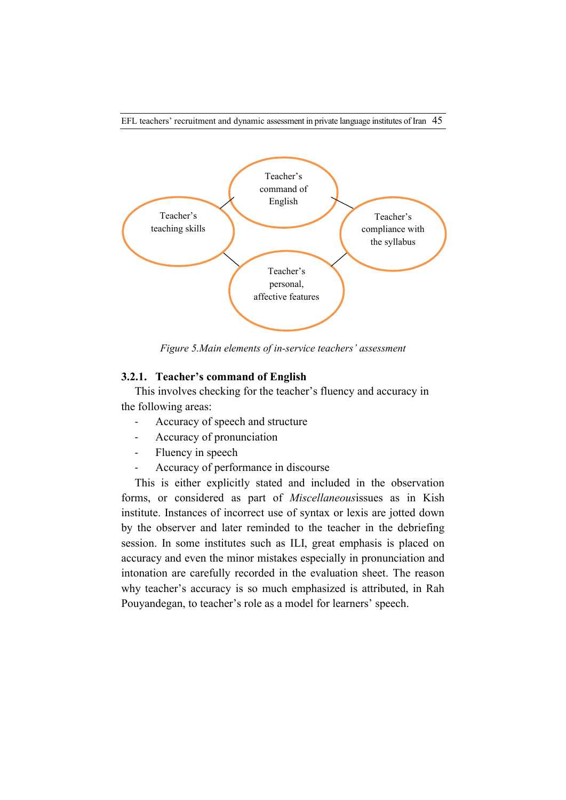

*Figure 5.Main elements of in-service teachers' assessment*

### **3.2.1. Teacher's command of English**

This involves checking for the teacher's fluency and accuracy in the following areas:

- Accuracy of speech and structure
- Accuracy of pronunciation
- Fluency in speech
- Accuracy of performance in discourse

This is either explicitly stated and included in the observation forms, or considered as part of *Miscellaneous*issues as in Kish institute. Instances of incorrect use of syntax or lexis are jotted down by the observer and later reminded to the teacher in the debriefing session. In some institutes such as ILI, great emphasis is placed on accuracy and even the minor mistakes especially in pronunciation and intonation are carefully recorded in the evaluation sheet. The reason why teacher's accuracy is so much emphasized is attributed, in Rah Pouyandegan, to teacher's role as a model for learners' speech.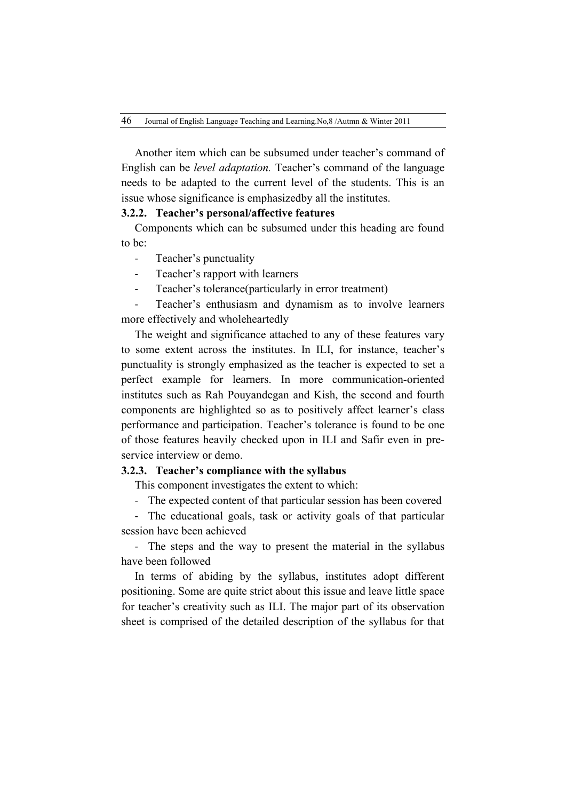Another item which can be subsumed under teacher's command of English can be *level adaptation.* Teacher's command of the language needs to be adapted to the current level of the students. This is an issue whose significance is emphasizedby all the institutes.

# **3.2.2. Teacher's personal/affective features**

Components which can be subsumed under this heading are found to be:

- Teacher's punctuality
- Teacher's rapport with learners
- Teacher's tolerance(particularly in error treatment)

Teacher's enthusiasm and dynamism as to involve learners more effectively and wholeheartedly

The weight and significance attached to any of these features vary to some extent across the institutes. In ILI, for instance, teacher's punctuality is strongly emphasized as the teacher is expected to set a perfect example for learners. In more communication-oriented institutes such as Rah Pouyandegan and Kish, the second and fourth components are highlighted so as to positively affect learner's class performance and participation. Teacher's tolerance is found to be one of those features heavily checked upon in ILI and Safir even in preservice interview or demo.

### **3.2.3. Teacher's compliance with the syllabus**

This component investigates the extent to which:

- The expected content of that particular session has been covered

The educational goals, task or activity goals of that particular session have been achieved

- The steps and the way to present the material in the syllabus have been followed

In terms of abiding by the syllabus, institutes adopt different positioning. Some are quite strict about this issue and leave little space for teacher's creativity such as ILI. The major part of its observation sheet is comprised of the detailed description of the syllabus for that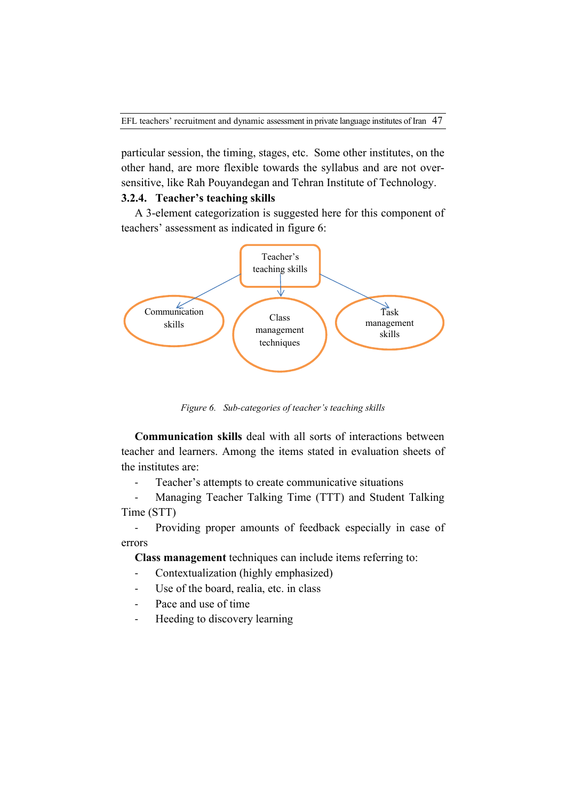particular session, the timing, stages, etc. Some other institutes, on the other hand, are more flexible towards the syllabus and are not oversensitive, like Rah Pouyandegan and Tehran Institute of Technology.

# **3.2.4. Teacher's teaching skills**

A 3-element categorization is suggested here for this component of teachers' assessment as indicated in figure 6:



*Figure 6. Sub-categories of teacher's teaching skills*

**Communication skills** deal with all sorts of interactions between teacher and learners. Among the items stated in evaluation sheets of the institutes are:

- Teacher's attempts to create communicative situations

- Managing Teacher Talking Time (TTT) and Student Talking Time (STT)

- Providing proper amounts of feedback especially in case of errors

**Class management** techniques can include items referring to:

- Contextualization (highly emphasized)
- Use of the board, realia, etc. in class
- Pace and use of time
- Heeding to discovery learning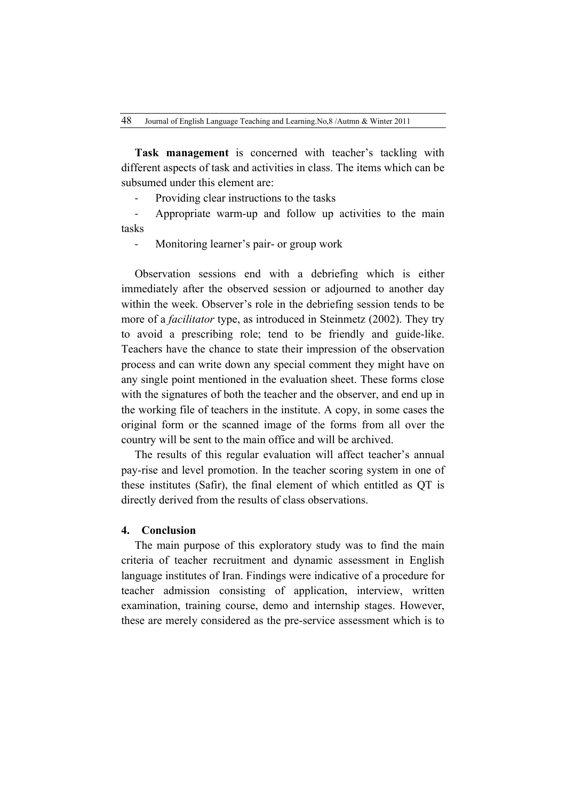**Task management** is concerned with teacher's tackling with different aspects of task and activities in class. The items which can be subsumed under this element are:

- Providing clear instructions to the tasks

Appropriate warm-up and follow up activities to the main tasks

- Monitoring learner's pair- or group work

Observation sessions end with a debriefing which is either immediately after the observed session or adjourned to another day within the week. Observer's role in the debriefing session tends to be more of a *facilitator* type, as introduced in Steinmetz (2002). They try to avoid a prescribing role; tend to be friendly and guide-like. Teachers have the chance to state their impression of the observation process and can write down any special comment they might have on any single point mentioned in the evaluation sheet. These forms close with the signatures of both the teacher and the observer, and end up in the working file of teachers in the institute. A copy, in some cases the original form or the scanned image of the forms from all over the country will be sent to the main office and will be archived.

The results of this regular evaluation will affect teacher's annual pay-rise and level promotion. In the teacher scoring system in one of these institutes (Safir), the final element of which entitled as QT is directly derived from the results of class observations.

#### **4. Conclusion**

The main purpose of this exploratory study was to find the main criteria of teacher recruitment and dynamic assessment in English language institutes of Iran. Findings were indicative of a procedure for teacher admission consisting of application, interview, written examination, training course, demo and internship stages. However, these are merely considered as the pre-service assessment which is to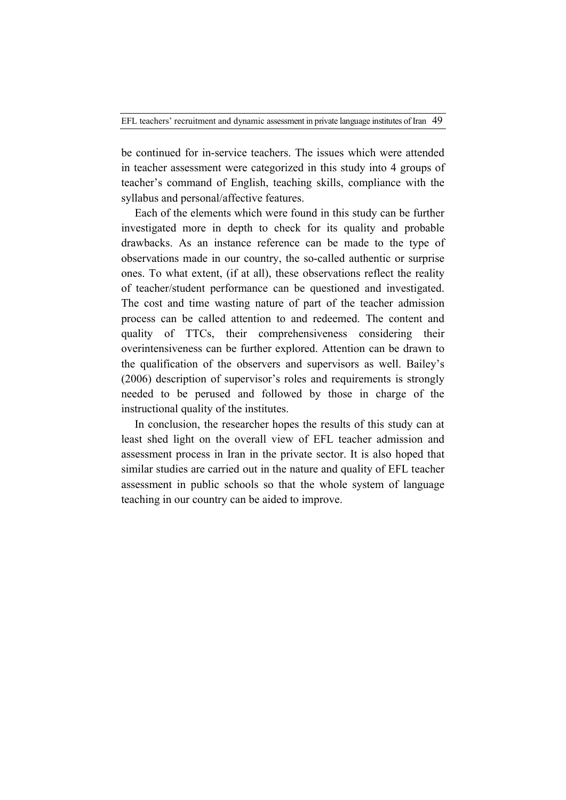be continued for in-service teachers. The issues which were attended in teacher assessment were categorized in this study into 4 groups of teacher's command of English, teaching skills, compliance with the syllabus and personal/affective features.

Each of the elements which were found in this study can be further investigated more in depth to check for its quality and probable drawbacks. As an instance reference can be made to the type of observations made in our country, the so-called authentic or surprise ones. To what extent, (if at all), these observations reflect the reality of teacher/student performance can be questioned and investigated. The cost and time wasting nature of part of the teacher admission process can be called attention to and redeemed. The content and quality of TTCs, their comprehensiveness considering their overintensiveness can be further explored. Attention can be drawn to the qualification of the observers and supervisors as well. Bailey's (2006) description of supervisor's roles and requirements is strongly needed to be perused and followed by those in charge of the instructional quality of the institutes.

In conclusion, the researcher hopes the results of this study can at least shed light on the overall view of EFL teacher admission and assessment process in Iran in the private sector. It is also hoped that similar studies are carried out in the nature and quality of EFL teacher assessment in public schools so that the whole system of language teaching in our country can be aided to improve.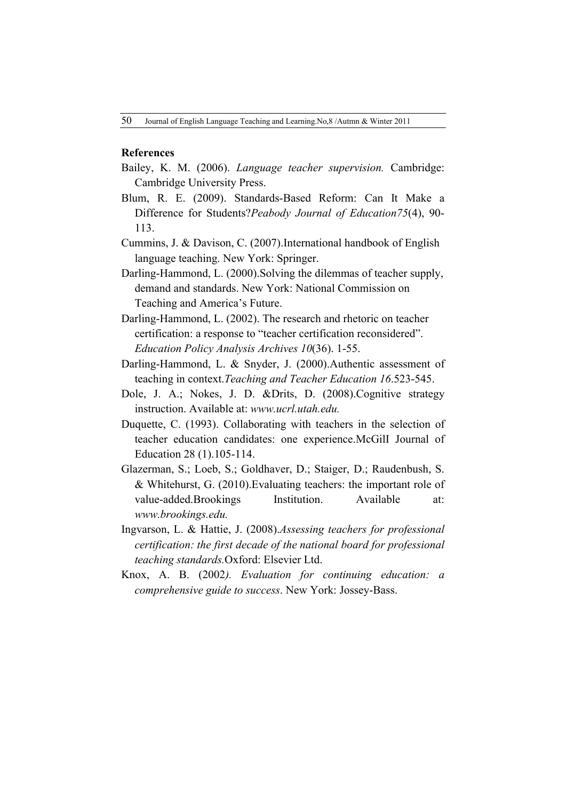### **References**

- Bailey, K. M. (2006). *Language teacher supervision.* Cambridge: Cambridge University Press.
- Blum, R. E. (2009). Standards-Based Reform: Can It Make a Difference for Students?*Peabody Journal of Education75*(4), 90- 113.
- Cummins, J. & Davison, C. (2007).International handbook of English language teaching. New York: Springer.
- Darling-Hammond, L. (2000).Solving the dilemmas of teacher supply, demand and standards. New York: National Commission on Teaching and America's Future.
- Darling-Hammond, L. (2002). The research and rhetoric on teacher certification: a response to "teacher certification reconsidered". *Education Policy Analysis Archives 10*(36). 1-55.
- Darling-Hammond, L. & Snyder, J. (2000).Authentic assessment of teaching in context.*Teaching and Teacher Education 16*.523-545.
- Dole, J. A.; Nokes, J. D. &Drits, D. (2008).Cognitive strategy instruction. Available at: *www.ucrl.utah.edu.*
- Duquette, C. (1993). Collaborating with teachers in the selection of teacher education candidates: one experience.McGilI Journal of Education 28 (1).105-114.
- Glazerman, S.; Loeb, S.; Goldhaver, D.; Staiger, D.; Raudenbush, S. & Whitehurst, G. (2010).Evaluating teachers: the important role of value-added.Brookings Institution. Available at: *www.brookings.edu.*
- Ingvarson, L. & Hattie, J. (2008).*Assessing teachers for professional certification: the first decade of the national board for professional teaching standards.*Oxford: Elsevier Ltd.
- Knox, A. B. (2002*). Evaluation for continuing education: a comprehensive guide to success*. New York: Jossey-Bass.